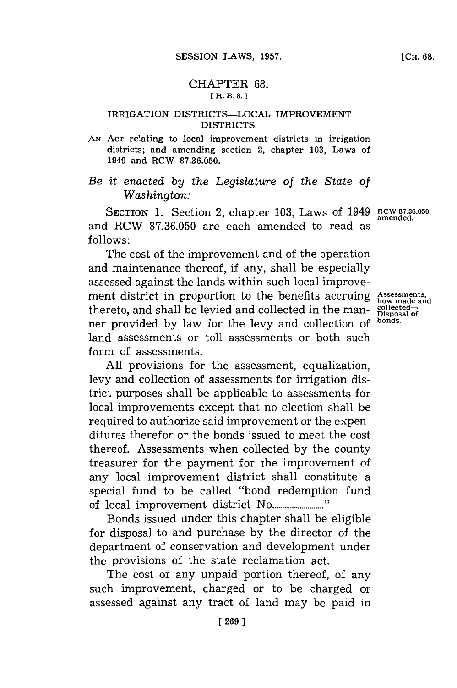## CHAPTER **68. [H. B. 8.]**

## **IRRIGATION DISTRICTS-LOCAL IMPROVEMENT DISTRICTS.**

**AN ACT** relating to local improvement districts in irrigation districts; and amending section 2, chapter **103,** Laws of 1949 and RCW **87.36.050.**

## *Be it enacted by the Legislature of the State of Washington:*

SECTION 1. Section 2, chapter 103, Laws of 1949 **RCW 87.36.050** and RCW **87.36.050** are each amended to read as **follows:**

The cost of the improvement and of the operation and maintenance thereof, if any, shall be especially assessed against the lands within such local improvement district in proportion to the benefits accruing Assessments, thereto, and shall be levied and collected in the man- **collected**ner provided **by** law for the levy and collection of **bonds.** land assessments or toll assessments or both such form of assessments.

All provisions for the assessment, equalization, levy and collection of assessments for irrigation district purposes shall be applicable to assessments for local improvements except that no election shall be required to authorize said improvement or the expenditures therefor or the bonds issued to meet the cost thereof. Assessments when collected **by** the county treasurer for the payment for the improvement of any local improvement district shall constitute a special fund to be called "bond redemption fund of local improvement district No.........................<sup>1</sup>

Bonds issued under this chapter shall be eligible for disposal to and purchase by the director of the department of conservation and development under the provisions of the state reclamation act.

The cost or any unpaid portion thereof, of any such improvement, charged or to be charged or assessed against any tract of land may be paid in